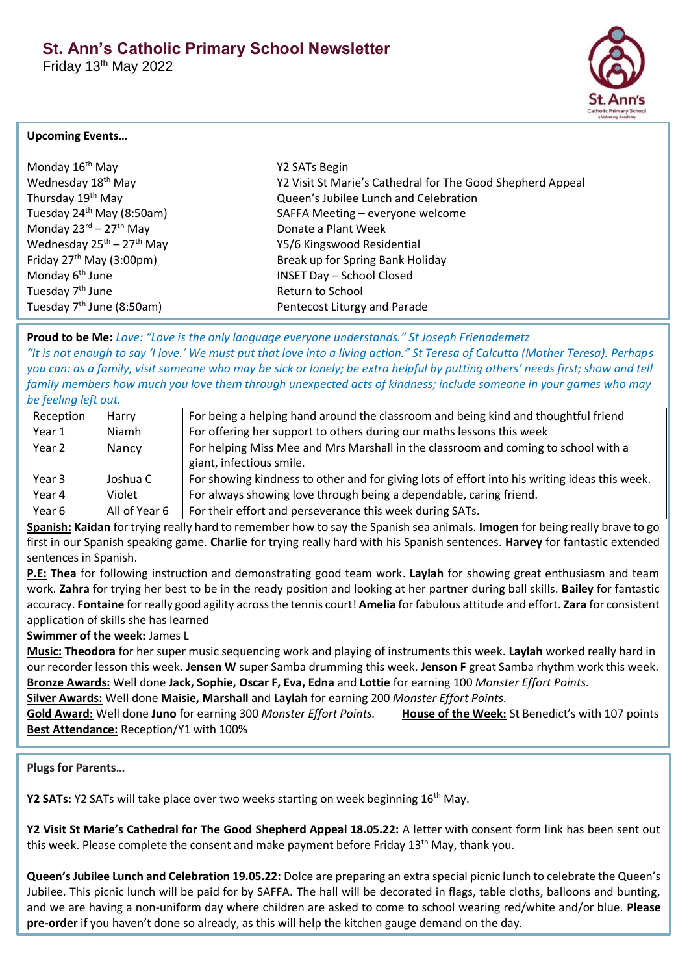Friday 13th May 2022



## **Upcoming Events…**

| Monday 16 <sup>th</sup> May                  | Y2 SATs Begin                                              |
|----------------------------------------------|------------------------------------------------------------|
| Wednesday 18 <sup>th</sup> May               | Y2 Visit St Marie's Cathedral for The Good Shepherd Appeal |
| Thursday 19 <sup>th</sup> May                | Queen's Jubilee Lunch and Celebration                      |
| Tuesday 24 <sup>th</sup> May (8:50am)        | SAFFA Meeting - everyone welcome                           |
| Monday $23^{\text{rd}} - 27^{\text{th}}$ May | Donate a Plant Week                                        |
| Wednesday $25^{th}$ – $27^{th}$ May          | Y5/6 Kingswood Residential                                 |
| Friday $27th$ May (3:00pm)                   | Break up for Spring Bank Holiday                           |
| Monday 6 <sup>th</sup> June                  | <b>INSET Day - School Closed</b>                           |
| Tuesday 7 <sup>th</sup> June                 | Return to School                                           |
| Tuesday $7th$ June (8:50am)                  | Pentecost Liturgy and Parade                               |

**Proud to be Me:** *Love: "Love is the only language everyone understands." St Joseph Frienademetz "It is not enough to say 'I love.' We must put that love into a living action." St Teresa of Calcutta (Mother Teresa). Perhaps you can: as a family, visit someone who may be sick or lonely; be extra helpful by putting others' needs first; show and tell family members how much you love them through unexpected acts of kindness; include someone in your games who may be feeling left out.*

| Reception | Harry         | For being a helping hand around the classroom and being kind and thoughtful friend            |
|-----------|---------------|-----------------------------------------------------------------------------------------------|
| Year 1    | Niamh         | For offering her support to others during our maths lessons this week                         |
| Year 2    | Nancy         | For helping Miss Mee and Mrs Marshall in the classroom and coming to school with a            |
|           |               | giant, infectious smile.                                                                      |
| Year 3    | Joshua C      | For showing kindness to other and for giving lots of effort into his writing ideas this week. |
| Year 4    | Violet        | For always showing love through being a dependable, caring friend.                            |
| Year 6    | All of Year 6 | For their effort and perseverance this week during SATs.                                      |

**Spanish: Kaidan** for trying really hard to remember how to say the Spanish sea animals. **Imogen** for being really brave to go first in our Spanish speaking game. **Charlie** for trying really hard with his Spanish sentences. **Harvey** for fantastic extended sentences in Spanish.

**P.E: Thea** for following instruction and demonstrating good team work. **Laylah** for showing great enthusiasm and team work. **Zahra** for trying her best to be in the ready position and looking at her partner during ball skills. **Bailey** for fantastic accuracy. **Fontaine** for really good agility across the tennis court! **Amelia** for fabulous attitude and effort. **Zara** for consistent application of skills she has learned

# **Swimmer of the week:** James L

**Music: Theodora** for her super music sequencing work and playing of instruments this week. **Laylah** worked really hard in our recorder lesson this week. **Jensen W** super Samba drumming this week. **Jenson F** great Samba rhythm work this week. **Bronze Awards:** Well done **Jack, Sophie, Oscar F, Eva, Edna** and **Lottie** for earning 100 *Monster Effort Points.*

**Silver Awards:** Well done **Maisie, Marshall** and **Laylah** for earning 200 *Monster Effort Points.*

**Gold Award:** Well done **Juno** for earning 300 *Monster Effort Points.* **House of the Week:** St Benedict's with 107 points **Best Attendance:** Reception/Y1 with 100%

**Plugs for Parents…**

**Y2 SATs:** Y2 SATs will take place over two weeks starting on week beginning 16<sup>th</sup> May.

**Y2 Visit St Marie's Cathedral for The Good Shepherd Appeal 18.05.22:** A letter with consent form link has been sent out this week. Please complete the consent and make payment before Friday 13th May, thank you.

**Queen's Jubilee Lunch and Celebration 19.05.22:** Dolce are preparing an extra special picnic lunch to celebrate the Queen's Jubilee. This picnic lunch will be paid for by SAFFA. The hall will be decorated in flags, table cloths, balloons and bunting, and we are having a non-uniform day where children are asked to come to school wearing red/white and/or blue. **Please pre-order** if you haven't done so already, as this will help the kitchen gauge demand on the day.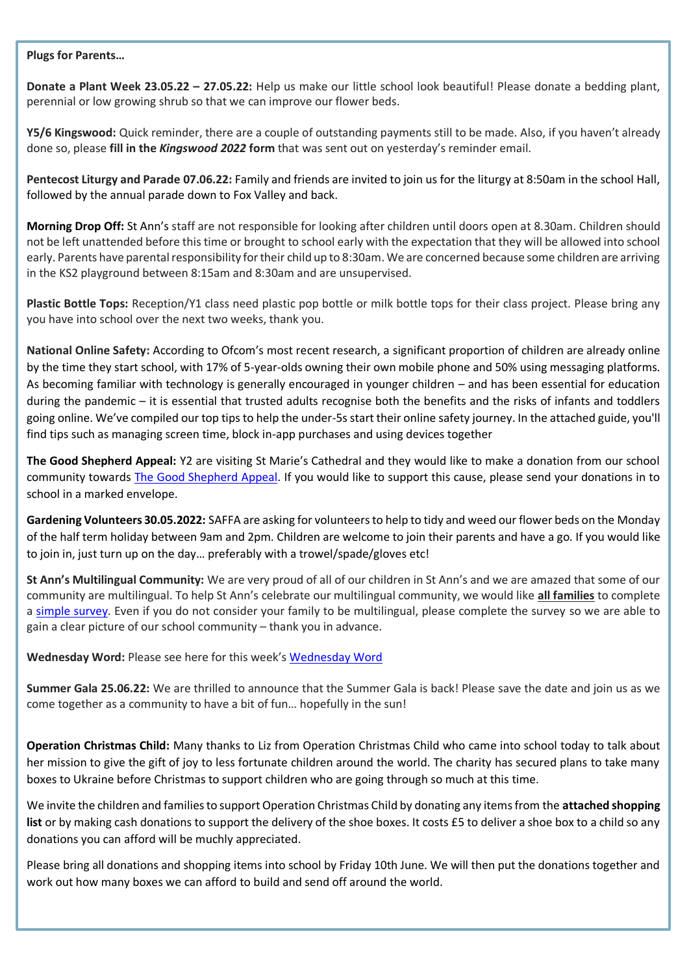#### **Plugs for Parents…**

**Donate a Plant Week 23.05.22 – 27.05.22:** Help us make our little school look beautiful! Please donate a bedding plant, perennial or low growing shrub so that we can improve our flower beds.

**Y5/6 Kingswood:** Quick reminder, there are a couple of outstanding payments still to be made. Also, if you haven't already done so, please **fill in the** *Kingswood 2022* **form** that was sent out on yesterday's reminder email.

**Pentecost Liturgy and Parade 07.06.22:** Family and friends are invited to join us for the liturgy at 8:50am in the school Hall, followed by the annual parade down to Fox Valley and back.

**Morning Drop Off:** St Ann's staff are not responsible for looking after children until doors open at 8.30am. Children should not be left unattended before this time or brought to school early with the expectation that they will be allowed into school early. Parents have parental responsibility for their child up to 8:30am. We are concerned because some children are arriving in the KS2 playground between 8:15am and 8:30am and are unsupervised.

**Plastic Bottle Tops:** Reception/Y1 class need plastic pop bottle or milk bottle tops for their class project. Please bring any you have into school over the next two weeks, thank you.

**National Online Safety:** According to Ofcom's most recent research, a significant proportion of children are already online by the time they start school, with 17% of 5-year-olds owning their own mobile phone and 50% using messaging platforms. As becoming familiar with technology is generally encouraged in younger children – and has been essential for education during the pandemic – it is essential that trusted adults recognise both the benefits and the risks of infants and toddlers going online. We've compiled our top tips to help the under-5s start their online safety journey. In the attached guide, you'll find tips such as managing screen time, block in-app purchases and using devices together

**The Good Shepherd Appeal:** Y2 are visiting St Marie's Cathedral and they would like to make a donation from our school community towards [The Good Shepherd Appeal.](https://hallam-diocese.com/caritas/good-shepherd/) If you would like to support this cause, please send your donations in to school in a marked envelope.

**Gardening Volunteers 30.05.2022:** SAFFA are asking for volunteers to help to tidy and weed our flower beds on the Monday of the half term holiday between 9am and 2pm. Children are welcome to join their parents and have a go. If you would like to join in, just turn up on the day… preferably with a trowel/spade/gloves etc!

**St Ann's Multilingual Community:** We are very proud of all of our children in St Ann's and we are amazed that some of our community are multilingual. To help St Ann's celebrate our multilingual community, we would like **all families** to complete a [simple survey.](https://forms.gle/zAzWyw7aYJHJDH9x6) Even if you do not consider your family to be multilingual, please complete the survey so we are able to gain a clear picture of our school community – thank you in advance.

[Wednesday Word](https://www.paperturn-view.com/uk/wednesday-word/love?pid=MTA101634&v=59.18): Please see here for this week's Wednesday Word

**Summer Gala 25.06.22:** We are thrilled to announce that the Summer Gala is back! Please save the date and join us as we come together as a community to have a bit of fun… hopefully in the sun!

**Operation Christmas Child:** Many thanks to Liz from Operation Christmas Child who came into school today to talk about her mission to give the gift of joy to less fortunate children around the world. The charity has secured plans to take many boxes to Ukraine before Christmas to support children who are going through so much at this time.

We invite the children and families to support Operation Christmas Child by donating any items from the **attached shopping list** or by making cash donations to support the delivery of the shoe boxes. It costs £5 to deliver a shoe box to a child so any donations you can afford will be muchly appreciated.

Please bring all donations and shopping items into school by Friday 10th June. We will then put the donations together and work out how many boxes we can afford to build and send off around the world.